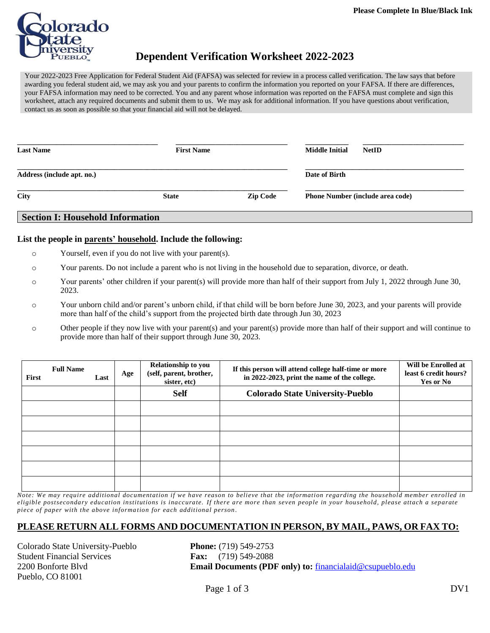

## **Dependent Verification Worksheet 2022-2023**

Your 2022-2023 Free Application for Federal Student Aid (FAFSA) was selected for review in a process called verification. The law says that before awarding you federal student aid, we may ask you and your parents to confirm the information you reported on your FAFSA. If there are differences, your FAFSA information may need to be corrected. You and any parent whose information was reported on the FAFSA must complete and sign this worksheet, attach any required documents and submit them to us. We may ask for additional information. If you have questions about verification, contact us as soon as possible so that your financial aid will not be delayed.

| <b>Last Name</b>           | <b>First Name</b> |                 | <b>Middle Initial</b><br><b>NetID</b>   |
|----------------------------|-------------------|-----------------|-----------------------------------------|
| Address (include apt. no.) |                   |                 | Date of Birth                           |
| City                       | <b>State</b>      | <b>Zip Code</b> | <b>Phone Number (include area code)</b> |

#### **Section I: Household Information**

#### **List the people in parents' household. Include the following:**

- o Yourself, even if you do not live with your parent(s).
- o Your parents. Do not include a parent who is not living in the household due to separation, divorce, or death.
- o Your parents' other children if your parent(s) will provide more than half of their support from July 1, 2022 through June 30, 2023.
- o Your unborn child and/or parent's unborn child, if that child will be born before June 30, 2023, and your parents will provide more than half of the child's support from the projected birth date through Jun 30, 2023
- o Other people if they now live with your parent(s) and your parent(s) provide more than half of their support and will continue to provide more than half of their support through June 30, 2023.

| First | <b>Full Name</b> | Last | Age | Relationship to you<br>(self, parent, brother,<br>sister, etc) | If this person will attend college half-time or more<br>in 2022-2023, print the name of the college. | Will be Enrolled at<br>least 6 credit hours?<br><b>Yes or No</b> |
|-------|------------------|------|-----|----------------------------------------------------------------|------------------------------------------------------------------------------------------------------|------------------------------------------------------------------|
|       |                  |      |     | <b>Self</b>                                                    | <b>Colorado State University-Pueblo</b>                                                              |                                                                  |
|       |                  |      |     |                                                                |                                                                                                      |                                                                  |
|       |                  |      |     |                                                                |                                                                                                      |                                                                  |
|       |                  |      |     |                                                                |                                                                                                      |                                                                  |
|       |                  |      |     |                                                                |                                                                                                      |                                                                  |
|       |                  |      |     |                                                                |                                                                                                      |                                                                  |
|       |                  |      |     |                                                                |                                                                                                      |                                                                  |

*Note: We may require additional documentation if we have reason to believe that the information regarding the household member enrolled in eligible postsecondary education institutions is inaccurate. If there are more than seven people in your household, please attach a separate piece of paper with the above informa tion for each additional person .*

#### **PLEASE RETURN ALL FORMS AND DOCUMENTATION IN PERSON, BY MAIL, PAWS, OR FAX TO:**

Colorado State University-Pueblo **Phone:** (719) 549-2753 Student Financial Services **Fax:** (719) 549-2088 Pueblo, CO 81001

2200 Bonforte Blvd **Email Documents (PDF only) to:** [financialaid@csupueblo.edu](file:///C:/Users/kristen.olguin/AppData/Local/Microsoft/Windows/Temporary%20Internet%20Files/Content.Outlook/ZWWESBLW/financialaid@csupueblo.edu)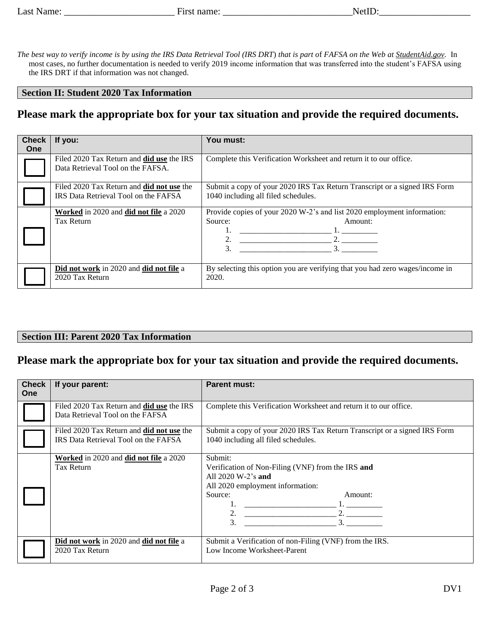*The best way to verify income is by using the IRS Data Retrieval Tool (IRS DRT*) *that is part o*f *FAFSA on the Web at StudentAid.gov.* In most cases, no further documentation is needed to verify 2019 income information that was transferred into the student's FAFSA using the IRS DRT if that information was not changed.

#### **Section II: Student 2020 Tax Information**

## **Please mark the appropriate box for your tax situation and provide the required documents.**

| <b>Check</b><br>One | If you:                                                                                  | You must:                                                                                                        |
|---------------------|------------------------------------------------------------------------------------------|------------------------------------------------------------------------------------------------------------------|
|                     | Filed 2020 Tax Return and <b>did use</b> the IRS<br>Data Retrieval Tool on the FAFSA.    | Complete this Verification Worksheet and return it to our office.                                                |
|                     | Filed 2020 Tax Return and <b>did not use</b> the<br>IRS Data Retrieval Tool on the FAFSA | Submit a copy of your 2020 IRS Tax Return Transcript or a signed IRS Form<br>1040 including all filed schedules. |
|                     | Worked in 2020 and did not file a 2020<br>Tax Return                                     | Provide copies of your 2020 W-2's and list 2020 employment information:<br>Source:<br>Amount:<br>2.<br>3.<br>3.  |
|                     | Did not work in 2020 and did not file a<br>2020 Tax Return                               | By selecting this option you are verifying that you had zero wages/income in<br>2020.                            |

#### **Section III: Parent 2020 Tax Information**

## **Please mark the appropriate box for your tax situation and provide the required documents.**

| <b>Check</b><br><b>One</b> | If your parent:                                                                          | <b>Parent must:</b>                                                                                                                                                                          |
|----------------------------|------------------------------------------------------------------------------------------|----------------------------------------------------------------------------------------------------------------------------------------------------------------------------------------------|
|                            | Filed 2020 Tax Return and <b>did use</b> the IRS<br>Data Retrieval Tool on the FAFSA     | Complete this Verification Worksheet and return it to our office.                                                                                                                            |
|                            | Filed 2020 Tax Return and <b>did not use</b> the<br>IRS Data Retrieval Tool on the FAFSA | Submit a copy of your 2020 IRS Tax Return Transcript or a signed IRS Form<br>1040 including all filed schedules.                                                                             |
|                            | Worked in 2020 and did not file a 2020<br><b>Tax Return</b>                              | Submit:<br>Verification of Non-Filing (VNF) from the IRS and<br>All $2020 \text{ W-}2$ 's and<br>All 2020 employment information:<br>Source:<br>Amount:<br>1. <u>_________________</u><br>3. |
|                            | Did not work in 2020 and did not file a<br>2020 Tax Return                               | Submit a Verification of non-Filing (VNF) from the IRS.<br>Low Income Worksheet-Parent                                                                                                       |